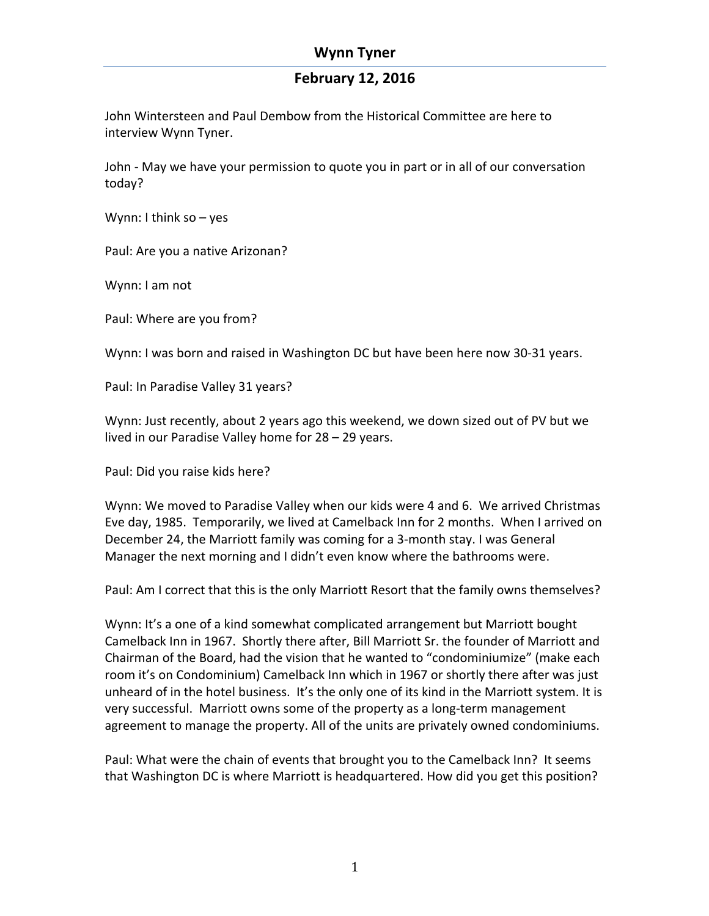# **February 12, 2016**

John Wintersteen and Paul Dembow from the Historical Committee are here to interview Wynn Tyner.

John - May we have your permission to quote you in part or in all of our conversation today?

Wynn: I think  $so - yes$ 

Paul: Are you a native Arizonan?

Wynn: I am not

Paul: Where are you from?

Wynn: I was born and raised in Washington DC but have been here now 30-31 years.

Paul: In Paradise Valley 31 years?

Wynn: Just recently, about 2 years ago this weekend, we down sized out of PV but we lived in our Paradise Valley home for  $28 - 29$  years.

Paul: Did you raise kids here?

Wynn: We moved to Paradise Valley when our kids were 4 and 6. We arrived Christmas Eve day, 1985. Temporarily, we lived at Camelback Inn for 2 months. When I arrived on December 24, the Marriott family was coming for a 3-month stay. I was General Manager the next morning and I didn't even know where the bathrooms were.

Paul: Am I correct that this is the only Marriott Resort that the family owns themselves?

Wynn: It's a one of a kind somewhat complicated arrangement but Marriott bought Camelback Inn in 1967. Shortly there after, Bill Marriott Sr. the founder of Marriott and Chairman of the Board, had the vision that he wanted to "condominiumize" (make each room it's on Condominium) Camelback Inn which in 1967 or shortly there after was just unheard of in the hotel business. It's the only one of its kind in the Marriott system. It is very successful. Marriott owns some of the property as a long-term management agreement to manage the property. All of the units are privately owned condominiums.

Paul: What were the chain of events that brought you to the Camelback Inn? It seems that Washington DC is where Marriott is headquartered. How did you get this position?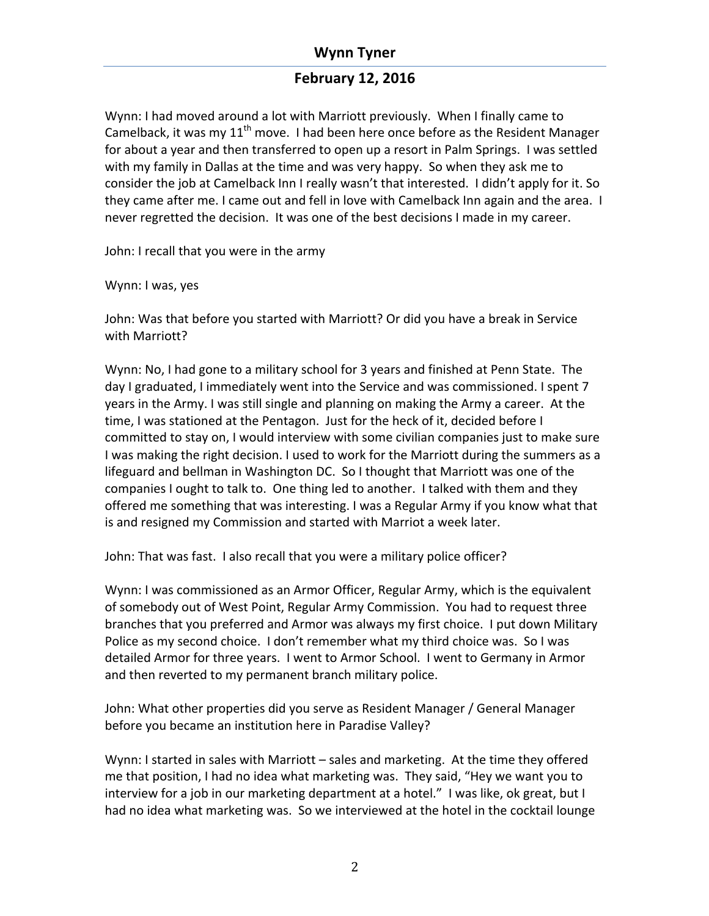# **February 12, 2016**

Wynn: I had moved around a lot with Marriott previously. When I finally came to Camelback, it was my  $11<sup>th</sup>$  move. I had been here once before as the Resident Manager for about a year and then transferred to open up a resort in Palm Springs. I was settled with my family in Dallas at the time and was very happy. So when they ask me to consider the job at Camelback Inn I really wasn't that interested. I didn't apply for it. So they came after me. I came out and fell in love with Camelback Inn again and the area. I never regretted the decision. It was one of the best decisions I made in my career.

John: I recall that you were in the army

Wynn: I was, yes

John: Was that before you started with Marriott? Or did you have a break in Service with Marriott?

Wynn: No, I had gone to a military school for 3 years and finished at Penn State. The day I graduated, I immediately went into the Service and was commissioned. I spent 7 years in the Army. I was still single and planning on making the Army a career. At the time, I was stationed at the Pentagon. Just for the heck of it, decided before I committed to stay on, I would interview with some civilian companies just to make sure I was making the right decision. I used to work for the Marriott during the summers as a lifeguard and bellman in Washington DC. So I thought that Marriott was one of the companies I ought to talk to. One thing led to another. I talked with them and they offered me something that was interesting. I was a Regular Army if you know what that is and resigned my Commission and started with Marriot a week later.

John: That was fast. I also recall that you were a military police officer?

Wynn: I was commissioned as an Armor Officer, Regular Army, which is the equivalent of somebody out of West Point, Regular Army Commission. You had to request three branches that you preferred and Armor was always my first choice. I put down Military Police as my second choice. I don't remember what my third choice was. So I was detailed Armor for three years. I went to Armor School. I went to Germany in Armor and then reverted to my permanent branch military police.

John: What other properties did you serve as Resident Manager / General Manager before you became an institution here in Paradise Valley?

Wynn: I started in sales with Marriott  $-$  sales and marketing. At the time they offered me that position, I had no idea what marketing was. They said, "Hey we want you to interview for a job in our marketing department at a hotel." I was like, ok great, but I had no idea what marketing was. So we interviewed at the hotel in the cocktail lounge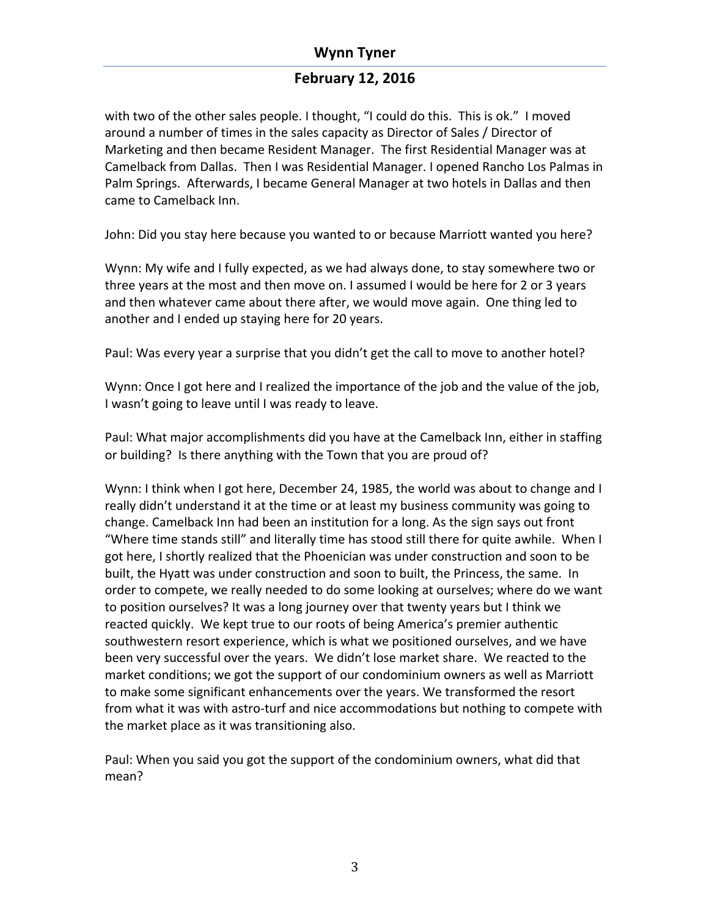# **February 12, 2016**

with two of the other sales people. I thought, "I could do this. This is ok." I moved around a number of times in the sales capacity as Director of Sales / Director of Marketing and then became Resident Manager. The first Residential Manager was at Camelback from Dallas. Then I was Residential Manager. I opened Rancho Los Palmas in Palm Springs. Afterwards, I became General Manager at two hotels in Dallas and then came to Camelback Inn.

John: Did you stay here because you wanted to or because Marriott wanted you here?

Wynn: My wife and I fully expected, as we had always done, to stay somewhere two or three years at the most and then move on. I assumed I would be here for 2 or 3 years and then whatever came about there after, we would move again. One thing led to another and I ended up staying here for 20 years.

Paul: Was every year a surprise that you didn't get the call to move to another hotel?

Wynn: Once I got here and I realized the importance of the job and the value of the job, I wasn't going to leave until I was ready to leave.

Paul: What major accomplishments did you have at the Camelback Inn, either in staffing or building? Is there anything with the Town that you are proud of?

Wynn: I think when I got here, December 24, 1985, the world was about to change and I really didn't understand it at the time or at least my business community was going to change. Camelback Inn had been an institution for a long. As the sign says out front "Where time stands still" and literally time has stood still there for quite awhile. When I got here, I shortly realized that the Phoenician was under construction and soon to be built, the Hyatt was under construction and soon to built, the Princess, the same. In order to compete, we really needed to do some looking at ourselves; where do we want to position ourselves? It was a long journey over that twenty years but I think we reacted quickly. We kept true to our roots of being America's premier authentic southwestern resort experience, which is what we positioned ourselves, and we have been very successful over the years. We didn't lose market share. We reacted to the market conditions; we got the support of our condominium owners as well as Marriott to make some significant enhancements over the years. We transformed the resort from what it was with astro-turf and nice accommodations but nothing to compete with the market place as it was transitioning also.

Paul: When you said you got the support of the condominium owners, what did that mean?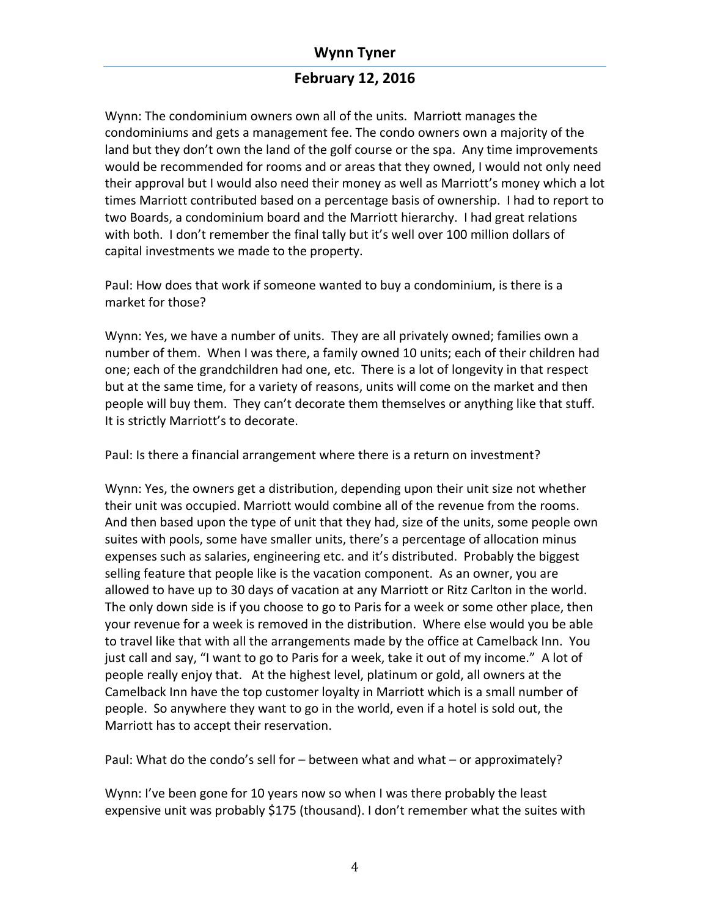# **February 12, 2016**

Wynn: The condominium owners own all of the units. Marriott manages the condominiums and gets a management fee. The condo owners own a majority of the land but they don't own the land of the golf course or the spa. Any time improvements would be recommended for rooms and or areas that they owned, I would not only need their approval but I would also need their money as well as Marriott's money which a lot times Marriott contributed based on a percentage basis of ownership. I had to report to two Boards, a condominium board and the Marriott hierarchy. I had great relations with both. I don't remember the final tally but it's well over 100 million dollars of capital investments we made to the property.

Paul: How does that work if someone wanted to buy a condominium, is there is a market for those?

Wynn: Yes, we have a number of units. They are all privately owned; families own a number of them. When I was there, a family owned 10 units; each of their children had one; each of the grandchildren had one, etc. There is a lot of longevity in that respect but at the same time, for a variety of reasons, units will come on the market and then people will buy them. They can't decorate them themselves or anything like that stuff. It is strictly Marriott's to decorate.

Paul: Is there a financial arrangement where there is a return on investment?

Wynn: Yes, the owners get a distribution, depending upon their unit size not whether their unit was occupied. Marriott would combine all of the revenue from the rooms. And then based upon the type of unit that they had, size of the units, some people own suites with pools, some have smaller units, there's a percentage of allocation minus expenses such as salaries, engineering etc. and it's distributed. Probably the biggest selling feature that people like is the vacation component. As an owner, you are allowed to have up to 30 days of vacation at any Marriott or Ritz Carlton in the world. The only down side is if you choose to go to Paris for a week or some other place, then your revenue for a week is removed in the distribution. Where else would you be able to travel like that with all the arrangements made by the office at Camelback Inn. You just call and say, "I want to go to Paris for a week, take it out of my income." A lot of people really enjoy that. At the highest level, platinum or gold, all owners at the Camelback Inn have the top customer loyalty in Marriott which is a small number of people. So anywhere they want to go in the world, even if a hotel is sold out, the Marriott has to accept their reservation.

Paul: What do the condo's sell for - between what and what - or approximately?

Wynn: I've been gone for 10 years now so when I was there probably the least expensive unit was probably \$175 (thousand). I don't remember what the suites with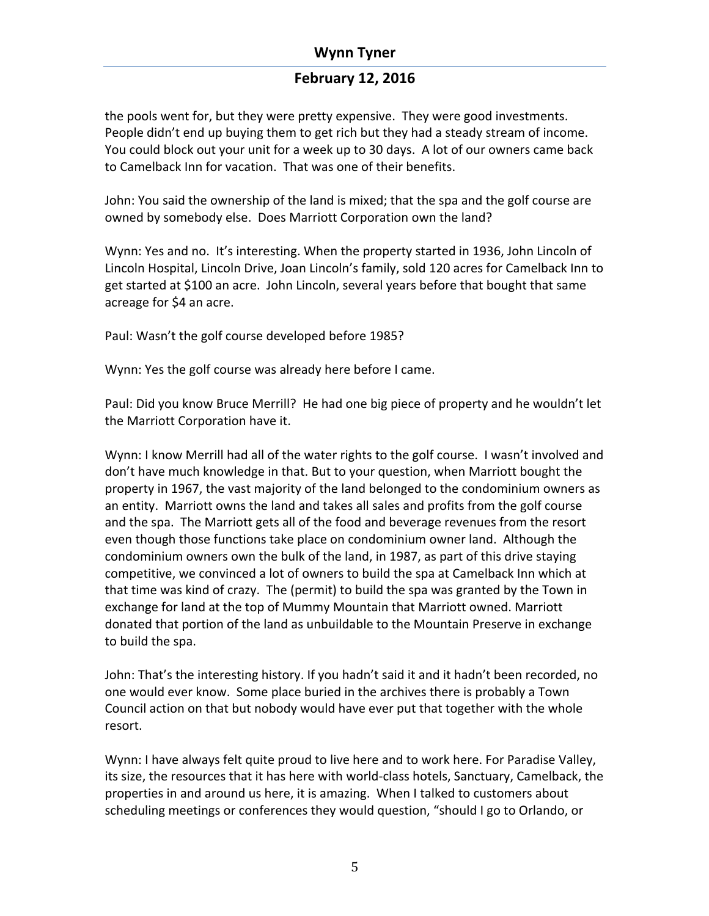# **February 12, 2016**

the pools went for, but they were pretty expensive. They were good investments. People didn't end up buying them to get rich but they had a steady stream of income. You could block out your unit for a week up to 30 days. A lot of our owners came back to Camelback Inn for vacation. That was one of their benefits.

John: You said the ownership of the land is mixed; that the spa and the golf course are owned by somebody else. Does Marriott Corporation own the land?

Wynn: Yes and no. It's interesting. When the property started in 1936, John Lincoln of Lincoln Hospital, Lincoln Drive, Joan Lincoln's family, sold 120 acres for Camelback Inn to get started at \$100 an acre. John Lincoln, several years before that bought that same acreage for \$4 an acre.

Paul: Wasn't the golf course developed before 1985?

Wynn: Yes the golf course was already here before I came.

Paul: Did you know Bruce Merrill? He had one big piece of property and he wouldn't let the Marriott Corporation have it.

Wynn: I know Merrill had all of the water rights to the golf course. I wasn't involved and don't have much knowledge in that. But to your question, when Marriott bought the property in 1967, the vast majority of the land belonged to the condominium owners as an entity. Marriott owns the land and takes all sales and profits from the golf course and the spa. The Marriott gets all of the food and beverage revenues from the resort even though those functions take place on condominium owner land. Although the condominium owners own the bulk of the land, in 1987, as part of this drive staying competitive, we convinced a lot of owners to build the spa at Camelback Inn which at that time was kind of crazy. The (permit) to build the spa was granted by the Town in exchange for land at the top of Mummy Mountain that Marriott owned. Marriott donated that portion of the land as unbuildable to the Mountain Preserve in exchange to build the spa.

John: That's the interesting history. If you hadn't said it and it hadn't been recorded, no one would ever know. Some place buried in the archives there is probably a Town Council action on that but nobody would have ever put that together with the whole resort.

Wynn: I have always felt quite proud to live here and to work here. For Paradise Valley, its size, the resources that it has here with world-class hotels, Sanctuary, Camelback, the properties in and around us here, it is amazing. When I talked to customers about scheduling meetings or conferences they would question, "should I go to Orlando, or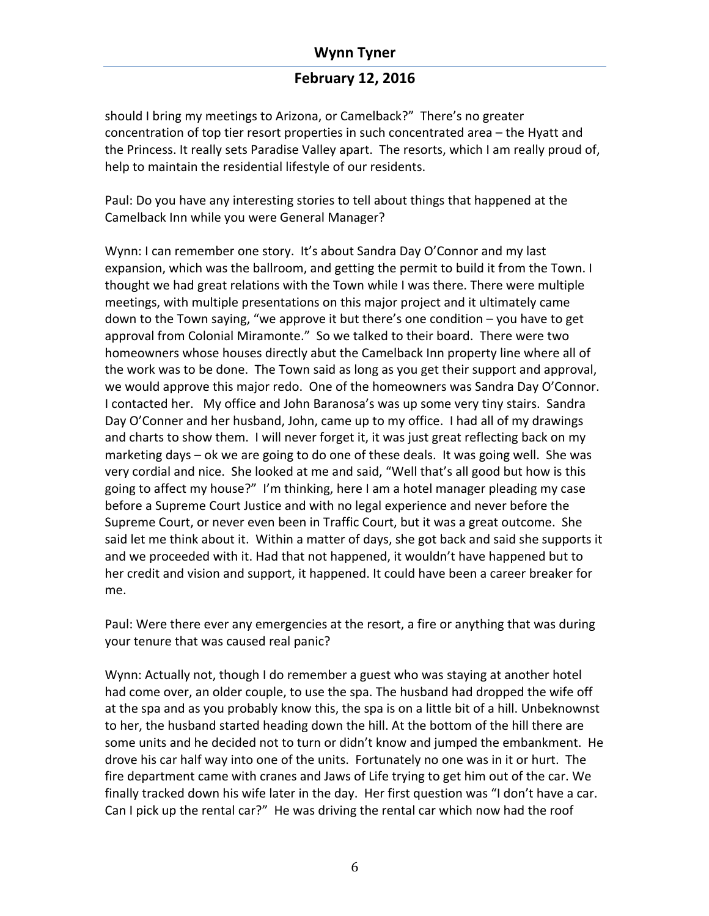# **February 12, 2016**

should I bring my meetings to Arizona, or Camelback?" There's no greater concentration of top tier resort properties in such concentrated area  $-$  the Hyatt and the Princess. It really sets Paradise Valley apart. The resorts, which I am really proud of, help to maintain the residential lifestyle of our residents.

Paul: Do you have any interesting stories to tell about things that happened at the Camelback Inn while you were General Manager?

Wynn: I can remember one story. It's about Sandra Day O'Connor and my last expansion, which was the ballroom, and getting the permit to build it from the Town. I thought we had great relations with the Town while I was there. There were multiple meetings, with multiple presentations on this major project and it ultimately came down to the Town saying, "we approve it but there's one condition  $-$  you have to get approval from Colonial Miramonte." So we talked to their board. There were two homeowners whose houses directly abut the Camelback Inn property line where all of the work was to be done. The Town said as long as you get their support and approval, we would approve this major redo. One of the homeowners was Sandra Day O'Connor. I contacted her. My office and John Baranosa's was up some very tiny stairs. Sandra Day O'Conner and her husband, John, came up to my office. I had all of my drawings and charts to show them. I will never forget it, it was just great reflecting back on my marketing days – ok we are going to do one of these deals. It was going well. She was very cordial and nice. She looked at me and said, "Well that's all good but how is this going to affect my house?" I'm thinking, here I am a hotel manager pleading my case before a Supreme Court Justice and with no legal experience and never before the Supreme Court, or never even been in Traffic Court, but it was a great outcome. She said let me think about it. Within a matter of days, she got back and said she supports it and we proceeded with it. Had that not happened, it wouldn't have happened but to her credit and vision and support, it happened. It could have been a career breaker for me.

Paul: Were there ever any emergencies at the resort, a fire or anything that was during your tenure that was caused real panic?

Wynn: Actually not, though I do remember a guest who was staying at another hotel had come over, an older couple, to use the spa. The husband had dropped the wife off at the spa and as you probably know this, the spa is on a little bit of a hill. Unbeknownst to her, the husband started heading down the hill. At the bottom of the hill there are some units and he decided not to turn or didn't know and jumped the embankment. He drove his car half way into one of the units. Fortunately no one was in it or hurt. The fire department came with cranes and Jaws of Life trying to get him out of the car. We finally tracked down his wife later in the day. Her first question was "I don't have a car. Can I pick up the rental car?" He was driving the rental car which now had the roof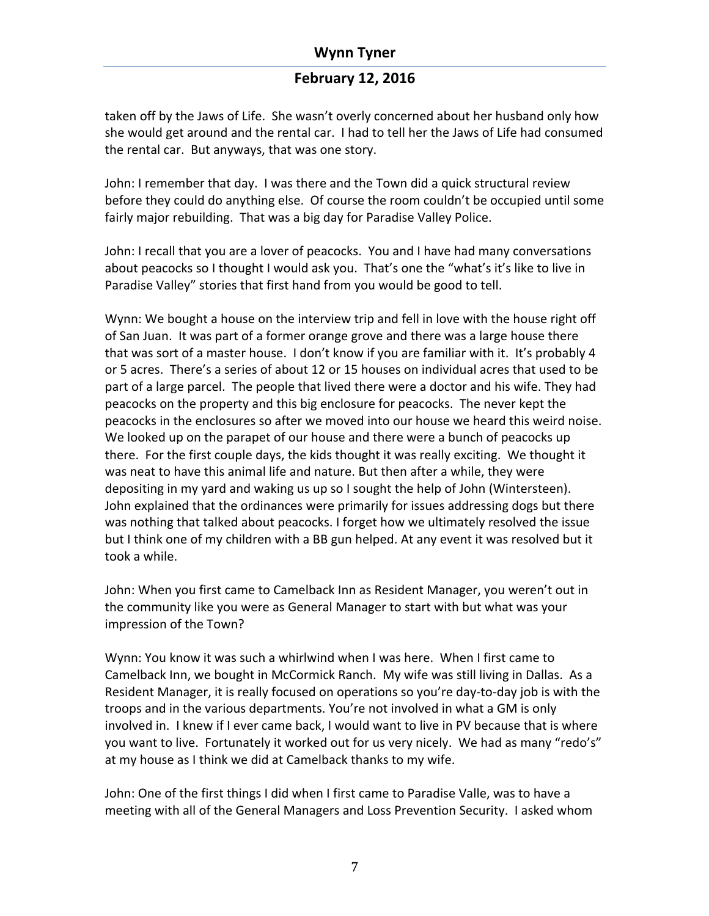# **February 12, 2016**

taken off by the Jaws of Life. She wasn't overly concerned about her husband only how she would get around and the rental car. I had to tell her the Jaws of Life had consumed the rental car. But anyways, that was one story.

John: I remember that day. I was there and the Town did a quick structural review before they could do anything else. Of course the room couldn't be occupied until some fairly major rebuilding. That was a big day for Paradise Valley Police.

John: I recall that you are a lover of peacocks. You and I have had many conversations about peacocks so I thought I would ask you. That's one the "what's it's like to live in Paradise Valley" stories that first hand from you would be good to tell.

Wynn: We bought a house on the interview trip and fell in love with the house right off of San Juan. It was part of a former orange grove and there was a large house there that was sort of a master house. I don't know if you are familiar with it. It's probably 4 or 5 acres. There's a series of about 12 or 15 houses on individual acres that used to be part of a large parcel. The people that lived there were a doctor and his wife. They had peacocks on the property and this big enclosure for peacocks. The never kept the peacocks in the enclosures so after we moved into our house we heard this weird noise. We looked up on the parapet of our house and there were a bunch of peacocks up there. For the first couple days, the kids thought it was really exciting. We thought it was neat to have this animal life and nature. But then after a while, they were depositing in my yard and waking us up so I sought the help of John (Wintersteen). John explained that the ordinances were primarily for issues addressing dogs but there was nothing that talked about peacocks. I forget how we ultimately resolved the issue but I think one of my children with a BB gun helped. At any event it was resolved but it took a while.

John: When you first came to Camelback Inn as Resident Manager, you weren't out in the community like you were as General Manager to start with but what was your impression of the Town?

Wynn: You know it was such a whirlwind when I was here. When I first came to Camelback Inn, we bought in McCormick Ranch. My wife was still living in Dallas. As a Resident Manager, it is really focused on operations so you're day-to-day job is with the troops and in the various departments. You're not involved in what a GM is only involved in. I knew if I ever came back, I would want to live in PV because that is where you want to live. Fortunately it worked out for us very nicely. We had as many "redo's" at my house as I think we did at Camelback thanks to my wife.

John: One of the first things I did when I first came to Paradise Valle, was to have a meeting with all of the General Managers and Loss Prevention Security. I asked whom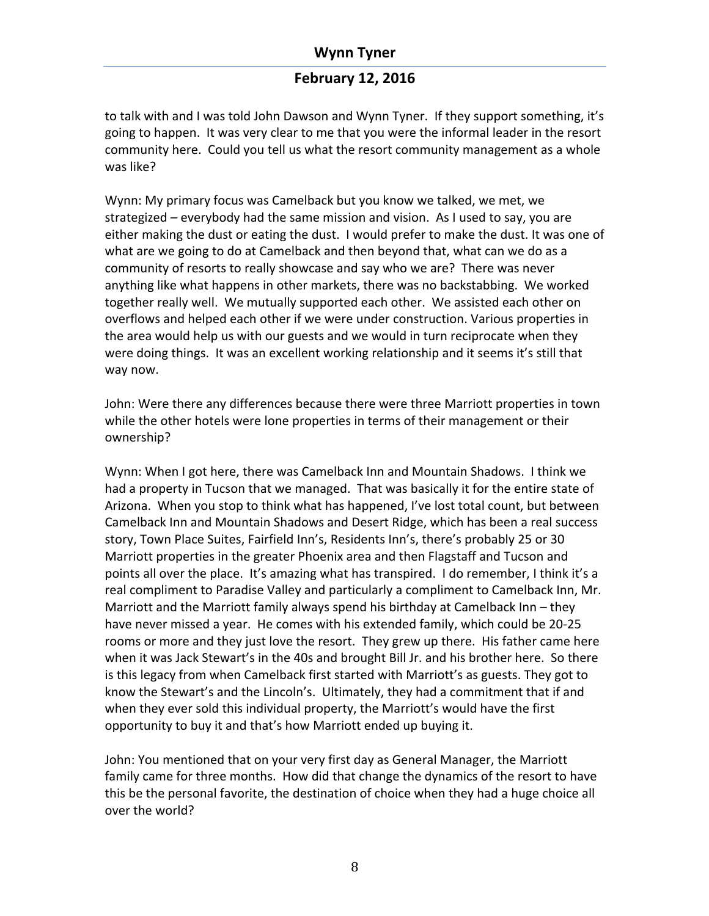# **February 12, 2016**

to talk with and I was told John Dawson and Wynn Tyner. If they support something, it's going to happen. It was very clear to me that you were the informal leader in the resort community here. Could you tell us what the resort community management as a whole was like?

Wynn: My primary focus was Camelback but you know we talked, we met, we strategized  $-$  everybody had the same mission and vision. As I used to say, you are either making the dust or eating the dust. I would prefer to make the dust. It was one of what are we going to do at Camelback and then beyond that, what can we do as a community of resorts to really showcase and say who we are? There was never anything like what happens in other markets, there was no backstabbing. We worked together really well. We mutually supported each other. We assisted each other on overflows and helped each other if we were under construction. Various properties in the area would help us with our guests and we would in turn reciprocate when they were doing things. It was an excellent working relationship and it seems it's still that way now.

John: Were there any differences because there were three Marriott properties in town while the other hotels were lone properties in terms of their management or their ownership?

Wynn: When I got here, there was Camelback Inn and Mountain Shadows. I think we had a property in Tucson that we managed. That was basically it for the entire state of Arizona. When you stop to think what has happened, I've lost total count, but between Camelback Inn and Mountain Shadows and Desert Ridge, which has been a real success story, Town Place Suites, Fairfield Inn's, Residents Inn's, there's probably 25 or 30 Marriott properties in the greater Phoenix area and then Flagstaff and Tucson and points all over the place. It's amazing what has transpired. I do remember, I think it's a real compliment to Paradise Valley and particularly a compliment to Camelback Inn, Mr. Marriott and the Marriott family always spend his birthday at Camelback Inn  $-$  they have never missed a year. He comes with his extended family, which could be 20-25 rooms or more and they just love the resort. They grew up there. His father came here when it was Jack Stewart's in the 40s and brought Bill Jr. and his brother here. So there is this legacy from when Camelback first started with Marriott's as guests. They got to know the Stewart's and the Lincoln's. Ultimately, they had a commitment that if and when they ever sold this individual property, the Marriott's would have the first opportunity to buy it and that's how Marriott ended up buying it.

John: You mentioned that on your very first day as General Manager, the Marriott family came for three months. How did that change the dynamics of the resort to have this be the personal favorite, the destination of choice when they had a huge choice all over the world?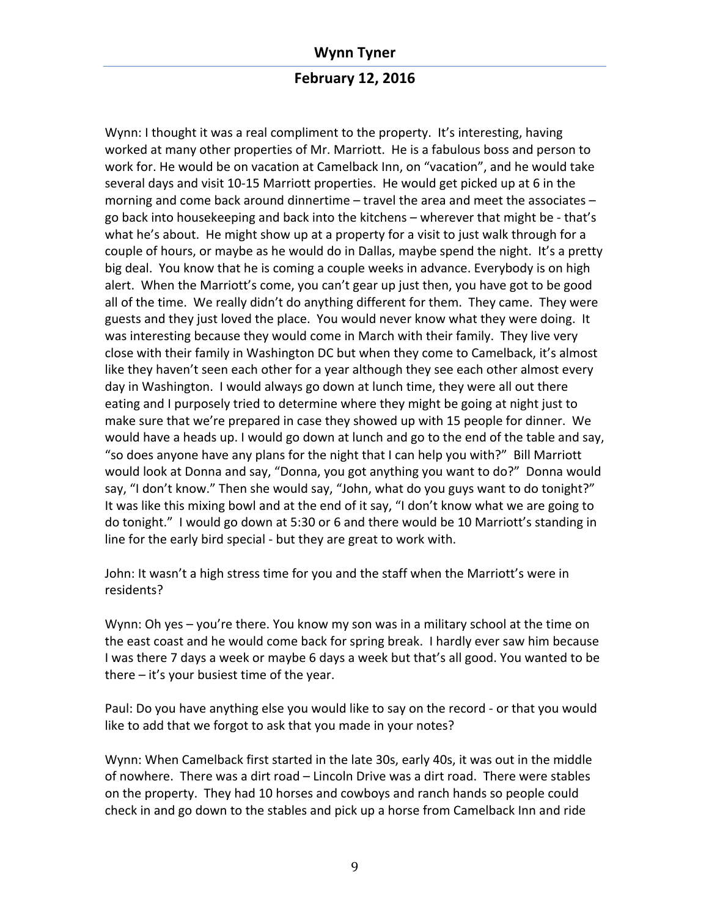## **February 12, 2016**

Wynn: I thought it was a real compliment to the property. It's interesting, having worked at many other properties of Mr. Marriott. He is a fabulous boss and person to work for. He would be on vacation at Camelback Inn, on "vacation", and he would take several days and visit  $10-15$  Marriott properties. He would get picked up at 6 in the morning and come back around dinnertime  $-$  travel the area and meet the associates  $$ go back into housekeeping and back into the kitchens – wherever that might be - that's what he's about. He might show up at a property for a visit to just walk through for a couple of hours, or maybe as he would do in Dallas, maybe spend the night. It's a pretty big deal. You know that he is coming a couple weeks in advance. Everybody is on high alert. When the Marriott's come, you can't gear up just then, you have got to be good all of the time. We really didn't do anything different for them. They came. They were guests and they just loved the place. You would never know what they were doing. It was interesting because they would come in March with their family. They live very close with their family in Washington DC but when they come to Camelback, it's almost like they haven't seen each other for a year although they see each other almost every day in Washington. I would always go down at lunch time, they were all out there eating and I purposely tried to determine where they might be going at night just to make sure that we're prepared in case they showed up with 15 people for dinner. We would have a heads up. I would go down at lunch and go to the end of the table and say, "so does anyone have any plans for the night that I can help you with?" Bill Marriott would look at Donna and say, "Donna, you got anything you want to do?" Donna would say, "I don't know." Then she would say, "John, what do you guys want to do tonight?" It was like this mixing bowl and at the end of it say, "I don't know what we are going to do tonight." I would go down at 5:30 or 6 and there would be 10 Marriott's standing in line for the early bird special - but they are great to work with.

John: It wasn't a high stress time for you and the staff when the Marriott's were in residents?

Wynn: Oh yes – you're there. You know my son was in a military school at the time on the east coast and he would come back for spring break. I hardly ever saw him because I was there 7 days a week or maybe 6 days a week but that's all good. You wanted to be there  $-$  it's your busiest time of the year.

Paul: Do you have anything else you would like to say on the record - or that you would like to add that we forgot to ask that you made in your notes?

Wynn: When Camelback first started in the late 30s, early 40s, it was out in the middle of nowhere. There was a dirt road - Lincoln Drive was a dirt road. There were stables on the property. They had 10 horses and cowboys and ranch hands so people could check in and go down to the stables and pick up a horse from Camelback Inn and ride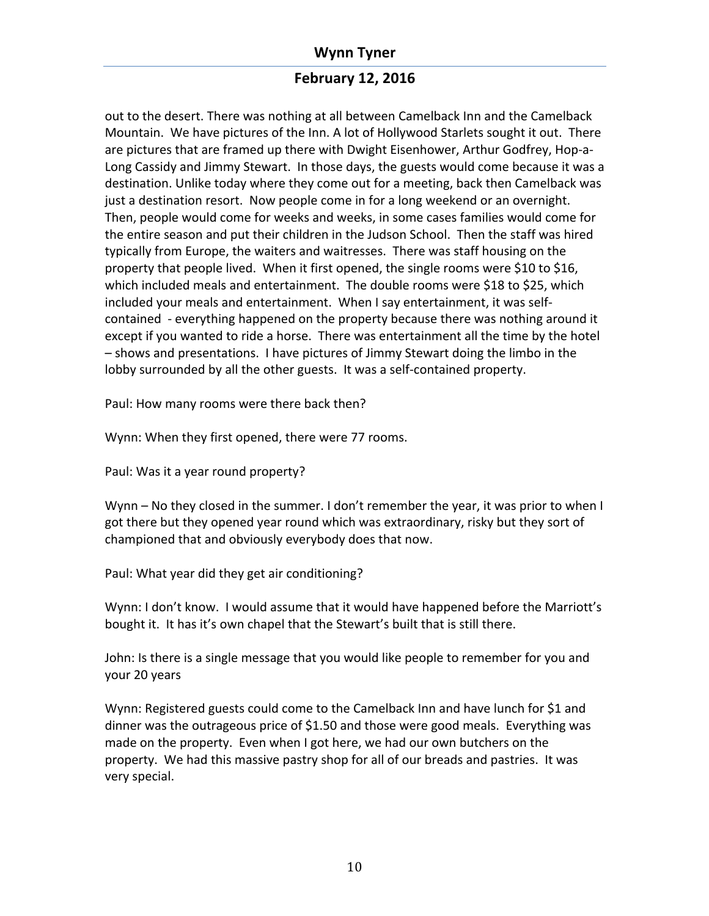# **February 12, 2016**

out to the desert. There was nothing at all between Camelback Inn and the Camelback Mountain. We have pictures of the Inn. A lot of Hollywood Starlets sought it out. There are pictures that are framed up there with Dwight Eisenhower, Arthur Godfrey, Hop-a-Long Cassidy and Jimmy Stewart. In those days, the guests would come because it was a destination. Unlike today where they come out for a meeting, back then Camelback was just a destination resort. Now people come in for a long weekend or an overnight. Then, people would come for weeks and weeks, in some cases families would come for the entire season and put their children in the Judson School. Then the staff was hired typically from Europe, the waiters and waitresses. There was staff housing on the property that people lived. When it first opened, the single rooms were \$10 to \$16, which included meals and entertainment. The double rooms were \$18 to \$25, which included your meals and entertainment. When I say entertainment, it was selfcontained - everything happened on the property because there was nothing around it except if you wanted to ride a horse. There was entertainment all the time by the hotel  $-$  shows and presentations. I have pictures of Jimmy Stewart doing the limbo in the lobby surrounded by all the other guests. It was a self-contained property.

Paul: How many rooms were there back then?

Wynn: When they first opened, there were 77 rooms.

Paul: Was it a year round property?

Wynn – No they closed in the summer. I don't remember the year, it was prior to when I got there but they opened year round which was extraordinary, risky but they sort of championed that and obviously everybody does that now.

Paul: What year did they get air conditioning?

Wynn: I don't know. I would assume that it would have happened before the Marriott's bought it. It has it's own chapel that the Stewart's built that is still there.

John: Is there is a single message that you would like people to remember for you and your 20 years 

Wynn: Registered guests could come to the Camelback Inn and have lunch for \$1 and dinner was the outrageous price of \$1.50 and those were good meals. Everything was made on the property. Even when I got here, we had our own butchers on the property. We had this massive pastry shop for all of our breads and pastries. It was very special.